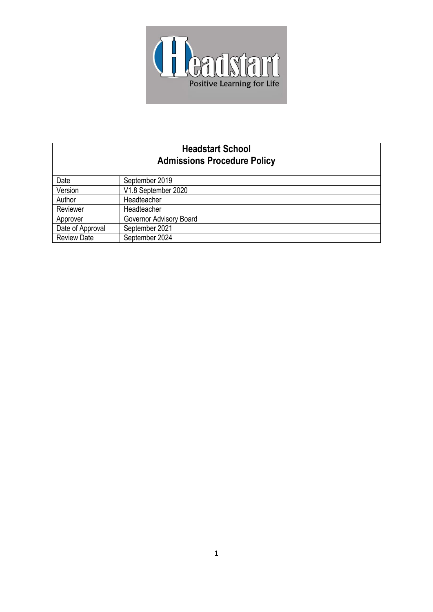

# **Headstart School Admissions Procedure Policy**

| Date               | September 2019          |
|--------------------|-------------------------|
| Version            | V1.8 September 2020     |
| Author             | Headteacher             |
| Reviewer           | Headteacher             |
| Approver           | Governor Advisory Board |
| Date of Approval   | September 2021          |
| <b>Review Date</b> | September 2024          |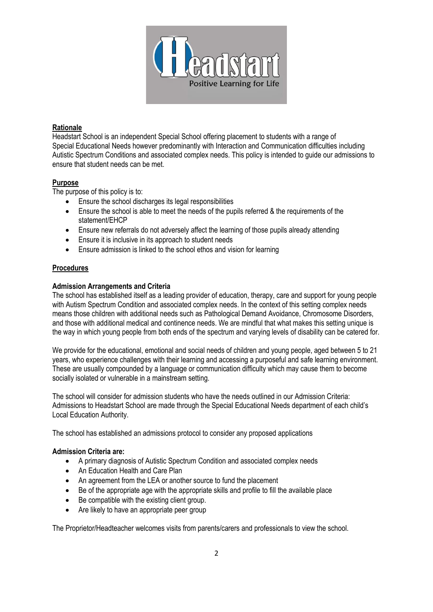

### **Rationale**

Headstart School is an independent Special School offering placement to students with a range of Special Educational Needs however predominantly with Interaction and Communication difficulties including Autistic Spectrum Conditions and associated complex needs. This policy is intended to guide our admissions to ensure that student needs can be met.

## **Purpose**

The purpose of this policy is to:

- Ensure the school discharges its legal responsibilities
- Ensure the school is able to meet the needs of the pupils referred & the requirements of the statement/EHCP
- Ensure new referrals do not adversely affect the learning of those pupils already attending
- Ensure it is inclusive in its approach to student needs
- Ensure admission is linked to the school ethos and vision for learning

## **Procedures**

## **Admission Arrangements and Criteria**

The school has established itself as a leading provider of education, therapy, care and support for young people with Autism Spectrum Condition and associated complex needs. In the context of this setting complex needs means those children with additional needs such as Pathological Demand Avoidance, Chromosome Disorders, and those with additional medical and continence needs. We are mindful that what makes this setting unique is the way in which young people from both ends of the spectrum and varying levels of disability can be catered for.

We provide for the educational, emotional and social needs of children and young people, aged between 5 to 21 years, who experience challenges with their learning and accessing a purposeful and safe learning environment. These are usually compounded by a language or communication difficulty which may cause them to become socially isolated or vulnerable in a mainstream setting.

The school will consider for admission students who have the needs outlined in our Admission Criteria: Admissions to Headstart School are made through the Special Educational Needs department of each child's Local Education Authority.

The school has established an admissions protocol to consider any proposed applications

#### **Admission Criteria are:**

- A primary diagnosis of Autistic Spectrum Condition and associated complex needs
- An Education Health and Care Plan
- An agreement from the LEA or another source to fund the placement
- Be of the appropriate age with the appropriate skills and profile to fill the available place
- Be compatible with the existing client group.
- Are likely to have an appropriate peer group

The Proprietor/Headteacher welcomes visits from parents/carers and professionals to view the school.